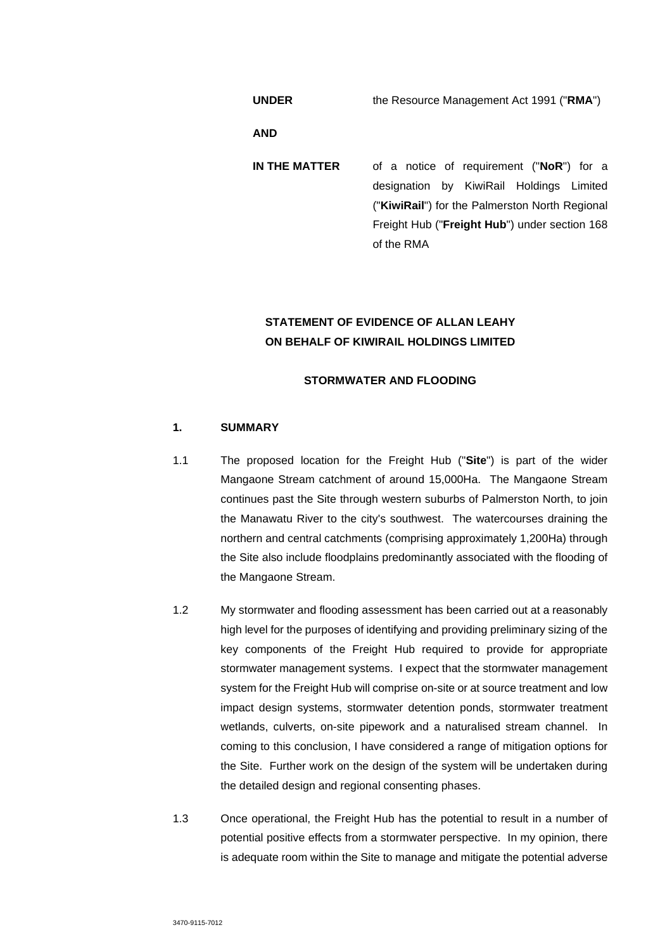**UNDER** the Resource Management Act 1991 ("**RMA**")

**AND** 

**IN THE MATTER** of a notice of requirement ("**NoR**") for a designation by KiwiRail Holdings Limited ("**KiwiRail**") for the Palmerston North Regional Freight Hub ("**Freight Hub**") under section 168 of the RMA

# **STATEMENT OF EVIDENCE OF ALLAN LEAHY ON BEHALF OF KIWIRAIL HOLDINGS LIMITED**

# **STORMWATER AND FLOODING**

# **1. SUMMARY**

- 1.1 The proposed location for the Freight Hub ("**Site**") is part of the wider Mangaone Stream catchment of around 15,000Ha. The Mangaone Stream continues past the Site through western suburbs of Palmerston North, to join the Manawatu River to the city's southwest. The watercourses draining the northern and central catchments (comprising approximately 1,200Ha) through the Site also include floodplains predominantly associated with the flooding of the Mangaone Stream.
- 1.2 My stormwater and flooding assessment has been carried out at a reasonably high level for the purposes of identifying and providing preliminary sizing of the key components of the Freight Hub required to provide for appropriate stormwater management systems. I expect that the stormwater management system for the Freight Hub will comprise on-site or at source treatment and low impact design systems, stormwater detention ponds, stormwater treatment wetlands, culverts, on-site pipework and a naturalised stream channel. In coming to this conclusion, I have considered a range of mitigation options for the Site. Further work on the design of the system will be undertaken during the detailed design and regional consenting phases.
- 1.3 Once operational, the Freight Hub has the potential to result in a number of potential positive effects from a stormwater perspective. In my opinion, there is adequate room within the Site to manage and mitigate the potential adverse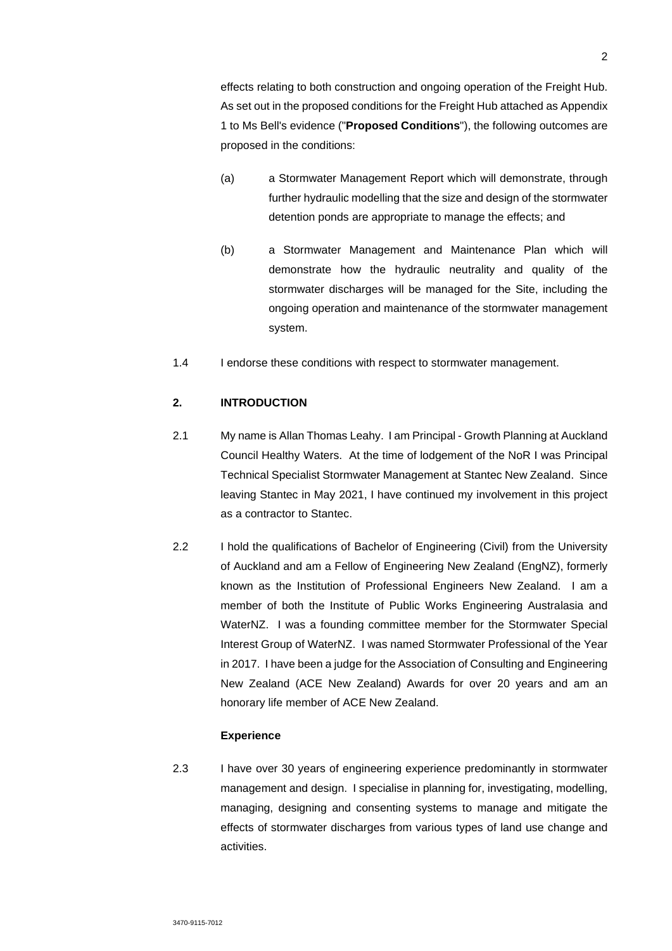effects relating to both construction and ongoing operation of the Freight Hub. As set out in the proposed conditions for the Freight Hub attached as Appendix 1 to Ms Bell's evidence ("**Proposed Conditions**"), the following outcomes are proposed in the conditions:

- (a) a Stormwater Management Report which will demonstrate, through further hydraulic modelling that the size and design of the stormwater detention ponds are appropriate to manage the effects; and
- (b) a Stormwater Management and Maintenance Plan which will demonstrate how the hydraulic neutrality and quality of the stormwater discharges will be managed for the Site, including the ongoing operation and maintenance of the stormwater management system.
- 1.4 I endorse these conditions with respect to stormwater management.

# **2. INTRODUCTION**

- 2.1 My name is Allan Thomas Leahy. I am Principal Growth Planning at Auckland Council Healthy Waters. At the time of lodgement of the NoR I was Principal Technical Specialist Stormwater Management at Stantec New Zealand. Since leaving Stantec in May 2021, I have continued my involvement in this project as a contractor to Stantec.
- 2.2 I hold the qualifications of Bachelor of Engineering (Civil) from the University of Auckland and am a Fellow of Engineering New Zealand (EngNZ), formerly known as the Institution of Professional Engineers New Zealand. I am a member of both the Institute of Public Works Engineering Australasia and WaterNZ. I was a founding committee member for the Stormwater Special Interest Group of WaterNZ. I was named Stormwater Professional of the Year in 2017. I have been a judge for the Association of Consulting and Engineering New Zealand (ACE New Zealand) Awards for over 20 years and am an honorary life member of ACE New Zealand.

### **Experience**

2.3 I have over 30 years of engineering experience predominantly in stormwater management and design. I specialise in planning for, investigating, modelling, managing, designing and consenting systems to manage and mitigate the effects of stormwater discharges from various types of land use change and activities.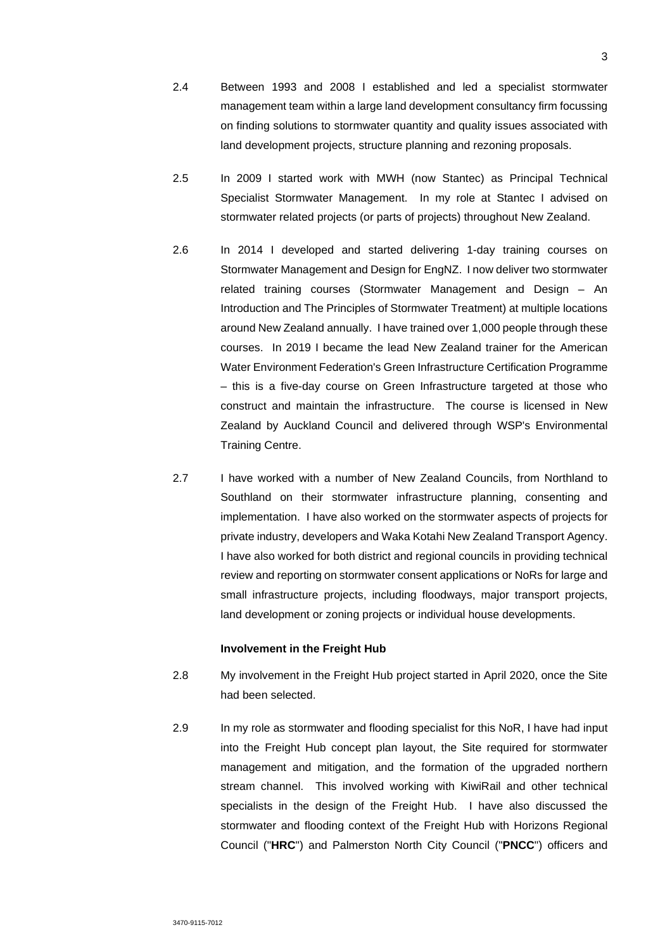- 2.4 Between 1993 and 2008 I established and led a specialist stormwater management team within a large land development consultancy firm focussing on finding solutions to stormwater quantity and quality issues associated with land development projects, structure planning and rezoning proposals.
- 2.5 In 2009 I started work with MWH (now Stantec) as Principal Technical Specialist Stormwater Management. In my role at Stantec I advised on stormwater related projects (or parts of projects) throughout New Zealand.
- 2.6 In 2014 I developed and started delivering 1-day training courses on Stormwater Management and Design for EngNZ. I now deliver two stormwater related training courses (Stormwater Management and Design – An Introduction and The Principles of Stormwater Treatment) at multiple locations around New Zealand annually. I have trained over 1,000 people through these courses. In 2019 I became the lead New Zealand trainer for the American Water Environment Federation's Green Infrastructure Certification Programme – this is a five-day course on Green Infrastructure targeted at those who construct and maintain the infrastructure. The course is licensed in New Zealand by Auckland Council and delivered through WSP's Environmental Training Centre.
- 2.7 I have worked with a number of New Zealand Councils, from Northland to Southland on their stormwater infrastructure planning, consenting and implementation. I have also worked on the stormwater aspects of projects for private industry, developers and Waka Kotahi New Zealand Transport Agency. I have also worked for both district and regional councils in providing technical review and reporting on stormwater consent applications or NoRs for large and small infrastructure projects, including floodways, major transport projects, land development or zoning projects or individual house developments.

#### **Involvement in the Freight Hub**

- 2.8 My involvement in the Freight Hub project started in April 2020, once the Site had been selected.
- 2.9 In my role as stormwater and flooding specialist for this NoR, I have had input into the Freight Hub concept plan layout, the Site required for stormwater management and mitigation, and the formation of the upgraded northern stream channel. This involved working with KiwiRail and other technical specialists in the design of the Freight Hub. I have also discussed the stormwater and flooding context of the Freight Hub with Horizons Regional Council ("**HRC**") and Palmerston North City Council ("**PNCC**") officers and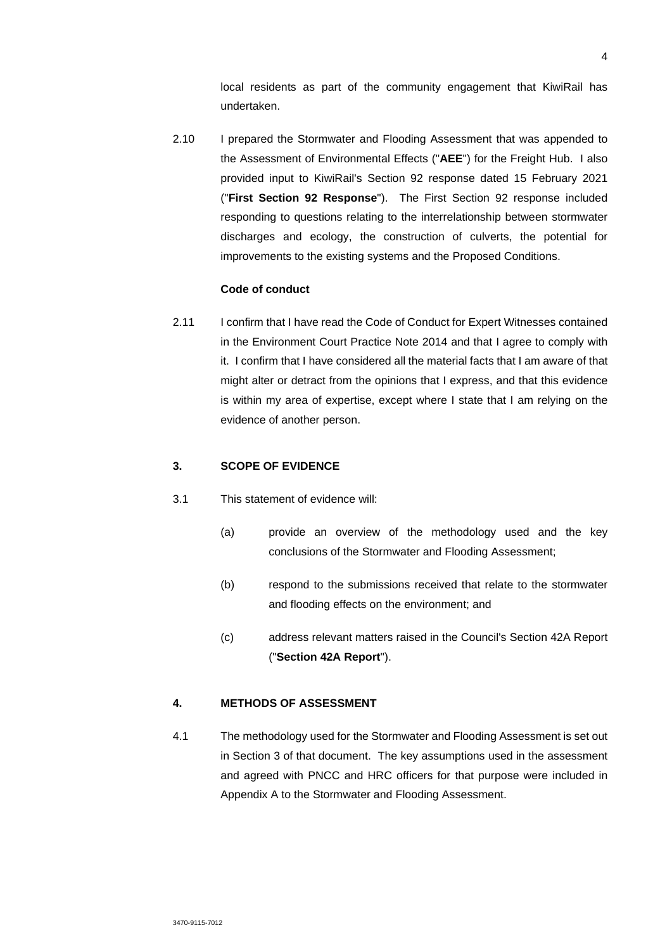local residents as part of the community engagement that KiwiRail has undertaken.

2.10 I prepared the Stormwater and Flooding Assessment that was appended to the Assessment of Environmental Effects ("**AEE**") for the Freight Hub. I also provided input to KiwiRail's Section 92 response dated 15 February 2021 ("**First Section 92 Response**"). The First Section 92 response included responding to questions relating to the interrelationship between stormwater discharges and ecology, the construction of culverts, the potential for improvements to the existing systems and the Proposed Conditions.

### **Code of conduct**

2.11 I confirm that I have read the Code of Conduct for Expert Witnesses contained in the Environment Court Practice Note 2014 and that I agree to comply with it. I confirm that I have considered all the material facts that I am aware of that might alter or detract from the opinions that I express, and that this evidence is within my area of expertise, except where I state that I am relying on the evidence of another person.

# **3. SCOPE OF EVIDENCE**

- 3.1 This statement of evidence will:
	- (a) provide an overview of the methodology used and the key conclusions of the Stormwater and Flooding Assessment;
	- (b) respond to the submissions received that relate to the stormwater and flooding effects on the environment; and
	- (c) address relevant matters raised in the Council's Section 42A Report ("**Section 42A Report**").

# **4. METHODS OF ASSESSMENT**

4.1 The methodology used for the Stormwater and Flooding Assessment is set out in Section 3 of that document. The key assumptions used in the assessment and agreed with PNCC and HRC officers for that purpose were included in Appendix A to the Stormwater and Flooding Assessment.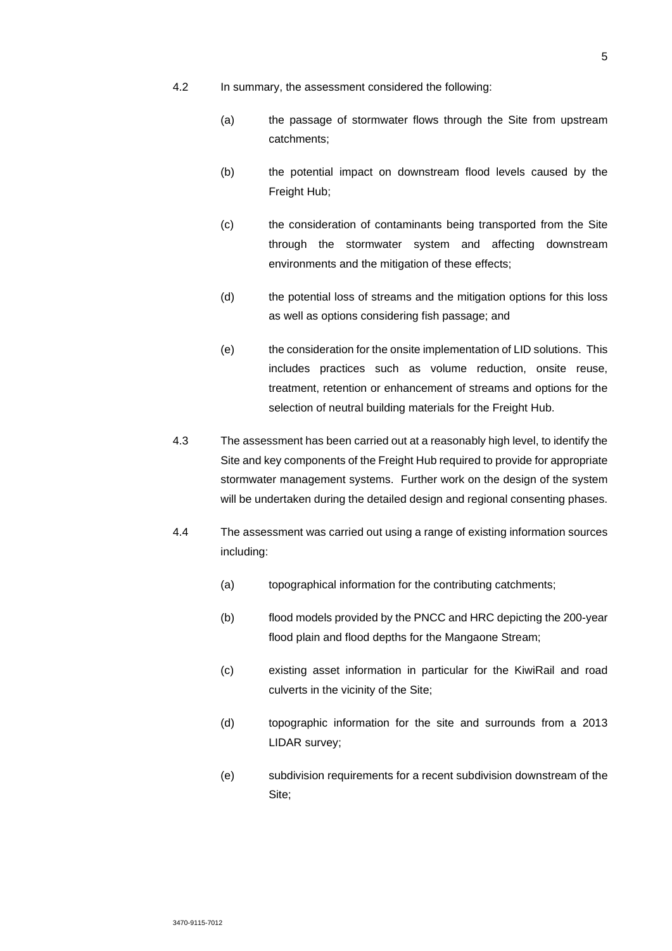- 4.2 In summary, the assessment considered the following:
	- (a) the passage of stormwater flows through the Site from upstream catchments;
	- (b) the potential impact on downstream flood levels caused by the Freight Hub;
	- (c) the consideration of contaminants being transported from the Site through the stormwater system and affecting downstream environments and the mitigation of these effects;
	- (d) the potential loss of streams and the mitigation options for this loss as well as options considering fish passage; and
	- (e) the consideration for the onsite implementation of LID solutions. This includes practices such as volume reduction, onsite reuse, treatment, retention or enhancement of streams and options for the selection of neutral building materials for the Freight Hub.
- 4.3 The assessment has been carried out at a reasonably high level, to identify the Site and key components of the Freight Hub required to provide for appropriate stormwater management systems. Further work on the design of the system will be undertaken during the detailed design and regional consenting phases.
- 4.4 The assessment was carried out using a range of existing information sources including:
	- (a) topographical information for the contributing catchments;
	- (b) flood models provided by the PNCC and HRC depicting the 200-year flood plain and flood depths for the Mangaone Stream;
	- (c) existing asset information in particular for the KiwiRail and road culverts in the vicinity of the Site;
	- (d) topographic information for the site and surrounds from a 2013 LIDAR survey;
	- (e) subdivision requirements for a recent subdivision downstream of the Site;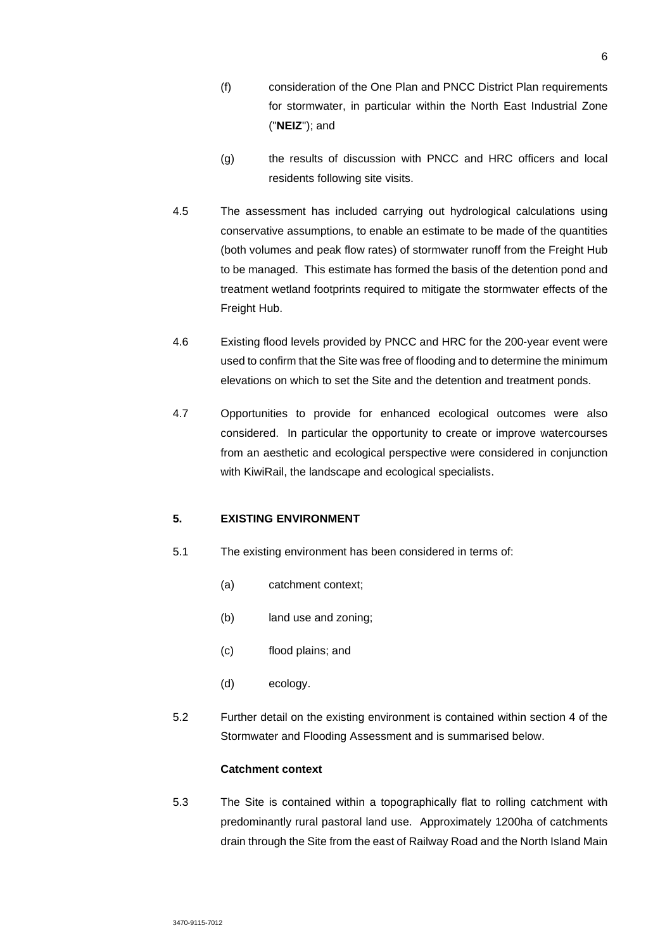- (f) consideration of the One Plan and PNCC District Plan requirements for stormwater, in particular within the North East Industrial Zone ("**NEIZ**"); and
- (g) the results of discussion with PNCC and HRC officers and local residents following site visits.
- 4.5 The assessment has included carrying out hydrological calculations using conservative assumptions, to enable an estimate to be made of the quantities (both volumes and peak flow rates) of stormwater runoff from the Freight Hub to be managed. This estimate has formed the basis of the detention pond and treatment wetland footprints required to mitigate the stormwater effects of the Freight Hub.
- 4.6 Existing flood levels provided by PNCC and HRC for the 200-year event were used to confirm that the Site was free of flooding and to determine the minimum elevations on which to set the Site and the detention and treatment ponds.
- 4.7 Opportunities to provide for enhanced ecological outcomes were also considered. In particular the opportunity to create or improve watercourses from an aesthetic and ecological perspective were considered in conjunction with KiwiRail, the landscape and ecological specialists.

# **5. EXISTING ENVIRONMENT**

- 5.1 The existing environment has been considered in terms of:
	- (a) catchment context;
	- (b) land use and zoning;
	- (c) flood plains; and
	- (d) ecology.
- 5.2 Further detail on the existing environment is contained within section 4 of the Stormwater and Flooding Assessment and is summarised below.

## **Catchment context**

5.3 The Site is contained within a topographically flat to rolling catchment with predominantly rural pastoral land use. Approximately 1200ha of catchments drain through the Site from the east of Railway Road and the North Island Main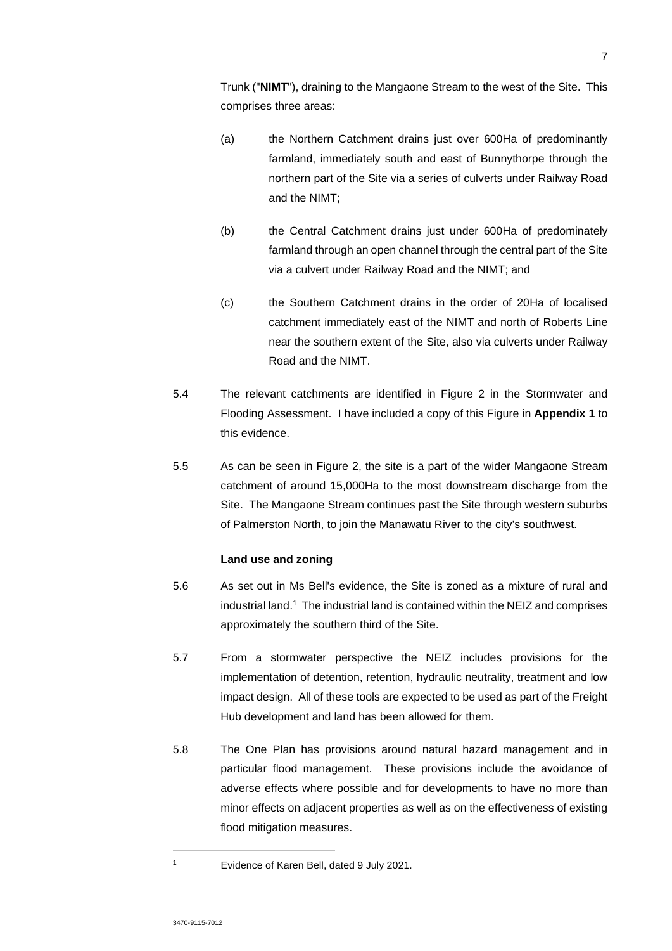Trunk ("**NIMT**"), draining to the Mangaone Stream to the west of the Site. This comprises three areas:

- (a) the Northern Catchment drains just over 600Ha of predominantly farmland, immediately south and east of Bunnythorpe through the northern part of the Site via a series of culverts under Railway Road and the NIMT;
- (b) the Central Catchment drains just under 600Ha of predominately farmland through an open channel through the central part of the Site via a culvert under Railway Road and the NIMT; and
- (c) the Southern Catchment drains in the order of 20Ha of localised catchment immediately east of the NIMT and north of Roberts Line near the southern extent of the Site, also via culverts under Railway Road and the NIMT.
- 5.4 The relevant catchments are identified in Figure 2 in the Stormwater and Flooding Assessment. I have included a copy of this Figure in **Appendix 1** to this evidence.
- 5.5 As can be seen in Figure 2, the site is a part of the wider Mangaone Stream catchment of around 15,000Ha to the most downstream discharge from the Site. The Mangaone Stream continues past the Site through western suburbs of Palmerston North, to join the Manawatu River to the city's southwest.

# **Land use and zoning**

- 5.6 As set out in Ms Bell's evidence, the Site is zoned as a mixture of rural and industrial land.<sup>1</sup> The industrial land is contained within the NEIZ and comprises approximately the southern third of the Site.
- 5.7 From a stormwater perspective the NEIZ includes provisions for the implementation of detention, retention, hydraulic neutrality, treatment and low impact design. All of these tools are expected to be used as part of the Freight Hub development and land has been allowed for them.
- 5.8 The One Plan has provisions around natural hazard management and in particular flood management. These provisions include the avoidance of adverse effects where possible and for developments to have no more than minor effects on adjacent properties as well as on the effectiveness of existing flood mitigation measures.

<sup>1</sup> Evidence of Karen Bell, dated 9 July 2021.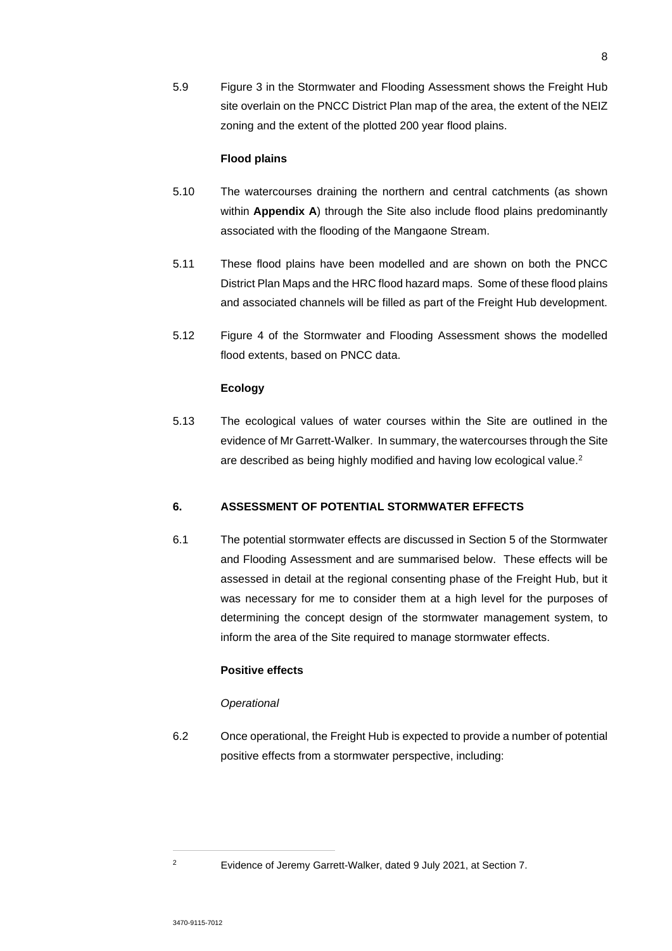5.9 Figure 3 in the Stormwater and Flooding Assessment shows the Freight Hub site overlain on the PNCC District Plan map of the area, the extent of the NEIZ zoning and the extent of the plotted 200 year flood plains.

### **Flood plains**

- 5.10 The watercourses draining the northern and central catchments (as shown within **Appendix A**) through the Site also include flood plains predominantly associated with the flooding of the Mangaone Stream.
- 5.11 These flood plains have been modelled and are shown on both the PNCC District Plan Maps and the HRC flood hazard maps. Some of these flood plains and associated channels will be filled as part of the Freight Hub development.
- 5.12 Figure 4 of the Stormwater and Flooding Assessment shows the modelled flood extents, based on PNCC data.

# **Ecology**

5.13 The ecological values of water courses within the Site are outlined in the evidence of Mr Garrett-Walker. In summary, the watercourses through the Site are described as being highly modified and having low ecological value.<sup>2</sup>

# **6. ASSESSMENT OF POTENTIAL STORMWATER EFFECTS**

6.1 The potential stormwater effects are discussed in Section 5 of the Stormwater and Flooding Assessment and are summarised below. These effects will be assessed in detail at the regional consenting phase of the Freight Hub, but it was necessary for me to consider them at a high level for the purposes of determining the concept design of the stormwater management system, to inform the area of the Site required to manage stormwater effects.

# **Positive effects**

### *Operational*

6.2 Once operational, the Freight Hub is expected to provide a number of potential positive effects from a stormwater perspective, including:

<sup>2</sup> Evidence of Jeremy Garrett-Walker, dated 9 July 2021, at Section 7.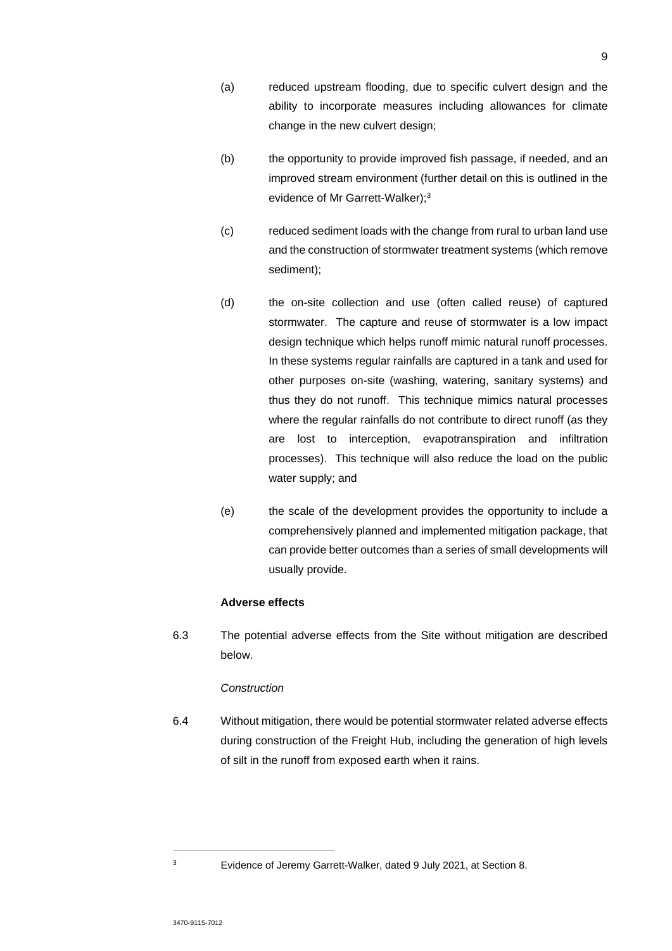- (a) reduced upstream flooding, due to specific culvert design and the ability to incorporate measures including allowances for climate change in the new culvert design;
- (b) the opportunity to provide improved fish passage, if needed, and an improved stream environment (further detail on this is outlined in the evidence of Mr Garrett-Walker);<sup>3</sup>
- (c) reduced sediment loads with the change from rural to urban land use and the construction of stormwater treatment systems (which remove sediment);
- (d) the on-site collection and use (often called reuse) of captured stormwater. The capture and reuse of stormwater is a low impact design technique which helps runoff mimic natural runoff processes. In these systems regular rainfalls are captured in a tank and used for other purposes on-site (washing, watering, sanitary systems) and thus they do not runoff. This technique mimics natural processes where the regular rainfalls do not contribute to direct runoff (as they are lost to interception, evapotranspiration and infiltration processes). This technique will also reduce the load on the public water supply; and
- (e) the scale of the development provides the opportunity to include a comprehensively planned and implemented mitigation package, that can provide better outcomes than a series of small developments will usually provide.

# **Adverse effects**

6.3 The potential adverse effects from the Site without mitigation are described below.

# *Construction*

6.4 Without mitigation, there would be potential stormwater related adverse effects during construction of the Freight Hub, including the generation of high levels of silt in the runoff from exposed earth when it rains.

<sup>3</sup> Evidence of Jeremy Garrett-Walker, dated 9 July 2021, at Section 8.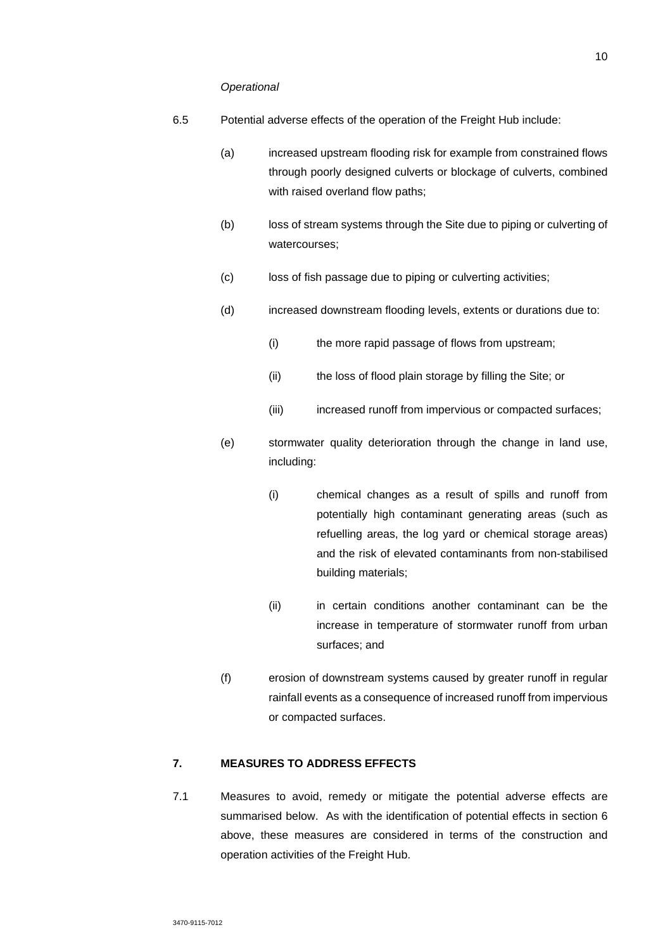#### *Operational*

- 6.5 Potential adverse effects of the operation of the Freight Hub include:
	- (a) increased upstream flooding risk for example from constrained flows through poorly designed culverts or blockage of culverts, combined with raised overland flow paths;
	- (b) loss of stream systems through the Site due to piping or culverting of watercourses;
	- (c) loss of fish passage due to piping or culverting activities;
	- (d) increased downstream flooding levels, extents or durations due to:
		- (i) the more rapid passage of flows from upstream;
		- (ii) the loss of flood plain storage by filling the Site; or
		- (iii) increased runoff from impervious or compacted surfaces;
	- (e) stormwater quality deterioration through the change in land use, including:
		- (i) chemical changes as a result of spills and runoff from potentially high contaminant generating areas (such as refuelling areas, the log yard or chemical storage areas) and the risk of elevated contaminants from non-stabilised building materials;
		- (ii) in certain conditions another contaminant can be the increase in temperature of stormwater runoff from urban surfaces; and
	- (f) erosion of downstream systems caused by greater runoff in regular rainfall events as a consequence of increased runoff from impervious or compacted surfaces.

# **7. MEASURES TO ADDRESS EFFECTS**

7.1 Measures to avoid, remedy or mitigate the potential adverse effects are summarised below. As with the identification of potential effects in section 6 above, these measures are considered in terms of the construction and operation activities of the Freight Hub.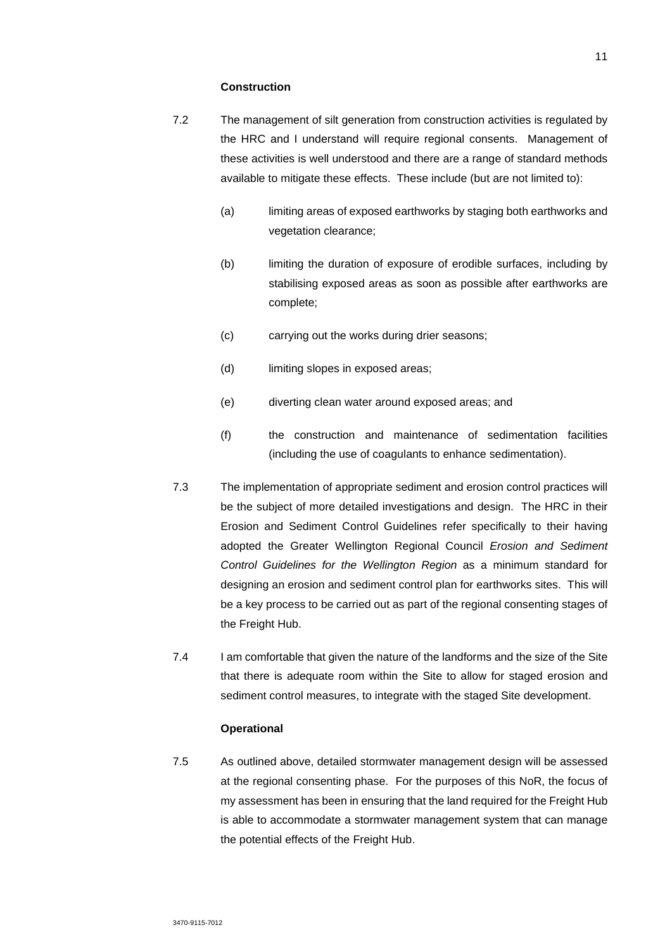### **Construction**

- 7.2 The management of silt generation from construction activities is regulated by the HRC and I understand will require regional consents. Management of these activities is well understood and there are a range of standard methods available to mitigate these effects. These include (but are not limited to):
	- (a) limiting areas of exposed earthworks by staging both earthworks and vegetation clearance;
	- (b) limiting the duration of exposure of erodible surfaces, including by stabilising exposed areas as soon as possible after earthworks are complete;
	- (c) carrying out the works during drier seasons;
	- (d) limiting slopes in exposed areas;
	- (e) diverting clean water around exposed areas; and
	- (f) the construction and maintenance of sedimentation facilities (including the use of coagulants to enhance sedimentation).
- 7.3 The implementation of appropriate sediment and erosion control practices will be the subject of more detailed investigations and design. The HRC in their Erosion and Sediment Control Guidelines refer specifically to their having adopted the Greater Wellington Regional Council *Erosion and Sediment Control Guidelines for the Wellington Region* as a minimum standard for designing an erosion and sediment control plan for earthworks sites. This will be a key process to be carried out as part of the regional consenting stages of the Freight Hub.
- 7.4 I am comfortable that given the nature of the landforms and the size of the Site that there is adequate room within the Site to allow for staged erosion and sediment control measures, to integrate with the staged Site development.

### **Operational**

7.5 As outlined above, detailed stormwater management design will be assessed at the regional consenting phase. For the purposes of this NoR, the focus of my assessment has been in ensuring that the land required for the Freight Hub is able to accommodate a stormwater management system that can manage the potential effects of the Freight Hub.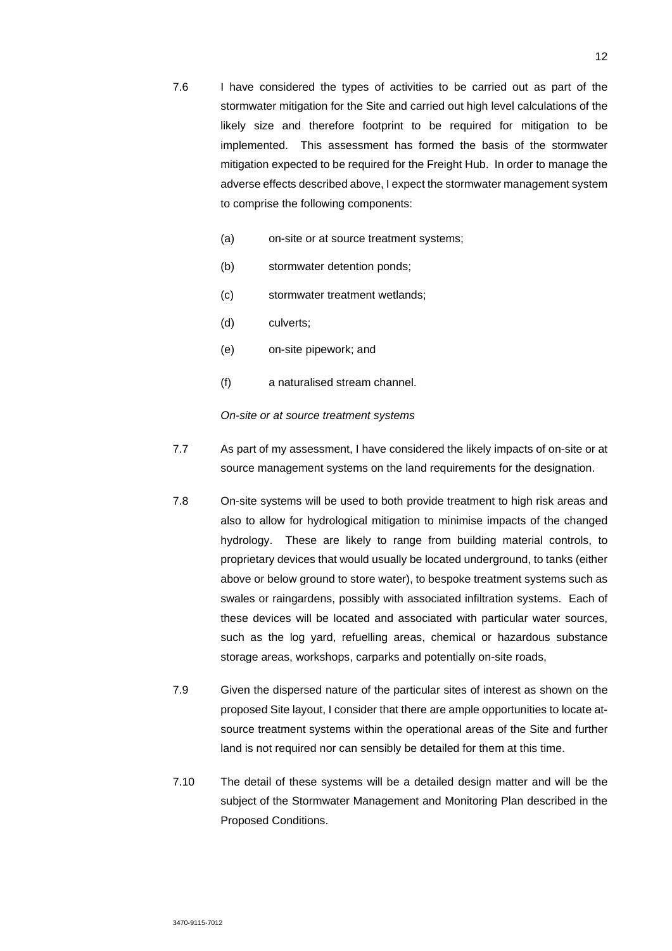- 7.6 I have considered the types of activities to be carried out as part of the stormwater mitigation for the Site and carried out high level calculations of the likely size and therefore footprint to be required for mitigation to be implemented. This assessment has formed the basis of the stormwater mitigation expected to be required for the Freight Hub. In order to manage the adverse effects described above, I expect the stormwater management system to comprise the following components:
	- (a) on-site or at source treatment systems;
	- (b) stormwater detention ponds;
	- (c) stormwater treatment wetlands;
	- (d) culverts;
	- (e) on-site pipework; and
	- (f) a naturalised stream channel.

*On-site or at source treatment systems* 

- 7.7 As part of my assessment, I have considered the likely impacts of on-site or at source management systems on the land requirements for the designation.
- 7.8 On-site systems will be used to both provide treatment to high risk areas and also to allow for hydrological mitigation to minimise impacts of the changed hydrology. These are likely to range from building material controls, to proprietary devices that would usually be located underground, to tanks (either above or below ground to store water), to bespoke treatment systems such as swales or raingardens, possibly with associated infiltration systems. Each of these devices will be located and associated with particular water sources, such as the log yard, refuelling areas, chemical or hazardous substance storage areas, workshops, carparks and potentially on-site roads,
- 7.9 Given the dispersed nature of the particular sites of interest as shown on the proposed Site layout, I consider that there are ample opportunities to locate atsource treatment systems within the operational areas of the Site and further land is not required nor can sensibly be detailed for them at this time.
- 7.10 The detail of these systems will be a detailed design matter and will be the subject of the Stormwater Management and Monitoring Plan described in the Proposed Conditions.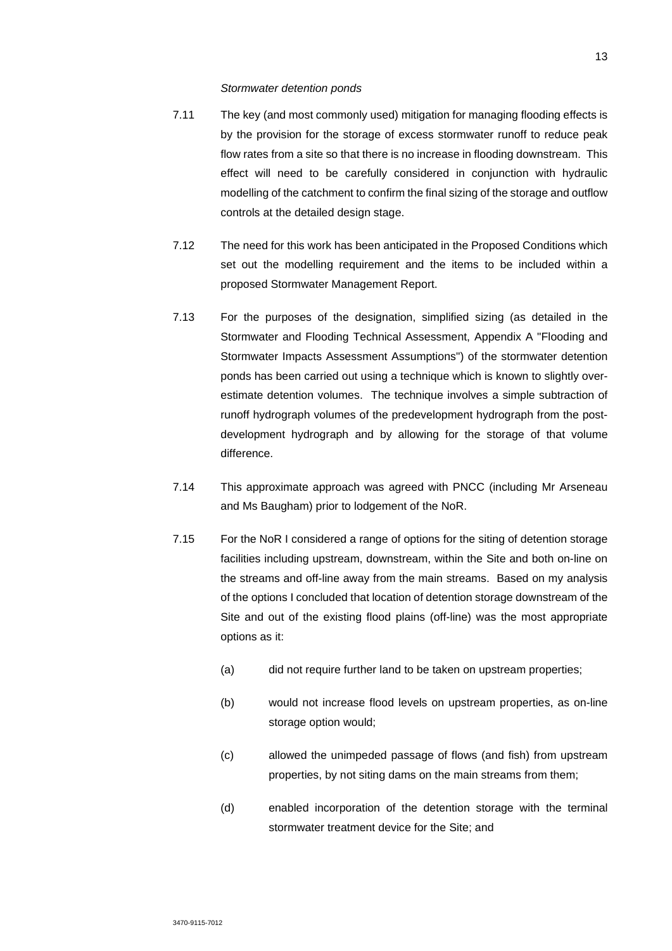#### *Stormwater detention ponds*

- 7.11 The key (and most commonly used) mitigation for managing flooding effects is by the provision for the storage of excess stormwater runoff to reduce peak flow rates from a site so that there is no increase in flooding downstream. This effect will need to be carefully considered in conjunction with hydraulic modelling of the catchment to confirm the final sizing of the storage and outflow controls at the detailed design stage.
- 7.12 The need for this work has been anticipated in the Proposed Conditions which set out the modelling requirement and the items to be included within a proposed Stormwater Management Report.
- 7.13 For the purposes of the designation, simplified sizing (as detailed in the Stormwater and Flooding Technical Assessment, Appendix A "Flooding and Stormwater Impacts Assessment Assumptions") of the stormwater detention ponds has been carried out using a technique which is known to slightly overestimate detention volumes. The technique involves a simple subtraction of runoff hydrograph volumes of the predevelopment hydrograph from the postdevelopment hydrograph and by allowing for the storage of that volume difference.
- 7.14 This approximate approach was agreed with PNCC (including Mr Arseneau and Ms Baugham) prior to lodgement of the NoR.
- 7.15 For the NoR I considered a range of options for the siting of detention storage facilities including upstream, downstream, within the Site and both on-line on the streams and off-line away from the main streams. Based on my analysis of the options I concluded that location of detention storage downstream of the Site and out of the existing flood plains (off-line) was the most appropriate options as it:
	- (a) did not require further land to be taken on upstream properties;
	- (b) would not increase flood levels on upstream properties, as on-line storage option would;
	- (c) allowed the unimpeded passage of flows (and fish) from upstream properties, by not siting dams on the main streams from them;
	- (d) enabled incorporation of the detention storage with the terminal stormwater treatment device for the Site; and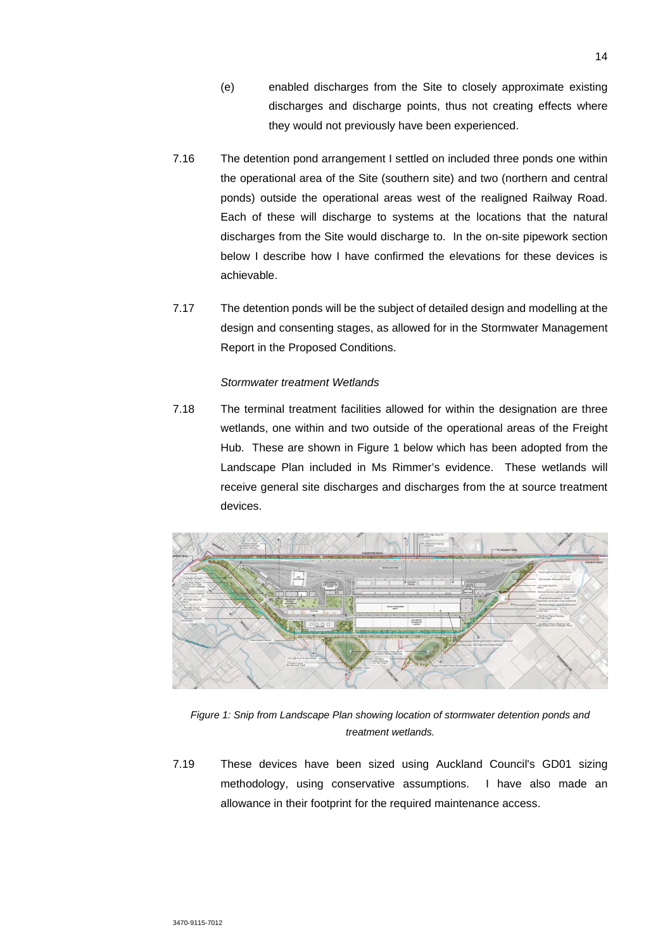- (e) enabled discharges from the Site to closely approximate existing discharges and discharge points, thus not creating effects where they would not previously have been experienced.
- 7.16 The detention pond arrangement I settled on included three ponds one within the operational area of the Site (southern site) and two (northern and central ponds) outside the operational areas west of the realigned Railway Road. Each of these will discharge to systems at the locations that the natural discharges from the Site would discharge to. In the on-site pipework section below I describe how I have confirmed the elevations for these devices is achievable.
- 7.17 The detention ponds will be the subject of detailed design and modelling at the design and consenting stages, as allowed for in the Stormwater Management Report in the Proposed Conditions.

### *Stormwater treatment Wetlands*

7.18 The terminal treatment facilities allowed for within the designation are three wetlands, one within and two outside of the operational areas of the Freight Hub. These are shown in Figure 1 below which has been adopted from the Landscape Plan included in Ms Rimmer's evidence. These wetlands will receive general site discharges and discharges from the at source treatment devices.



*Figure 1: Snip from Landscape Plan showing location of stormwater detention ponds and treatment wetlands.* 

7.19 These devices have been sized using Auckland Council's GD01 sizing methodology, using conservative assumptions. I have also made an allowance in their footprint for the required maintenance access.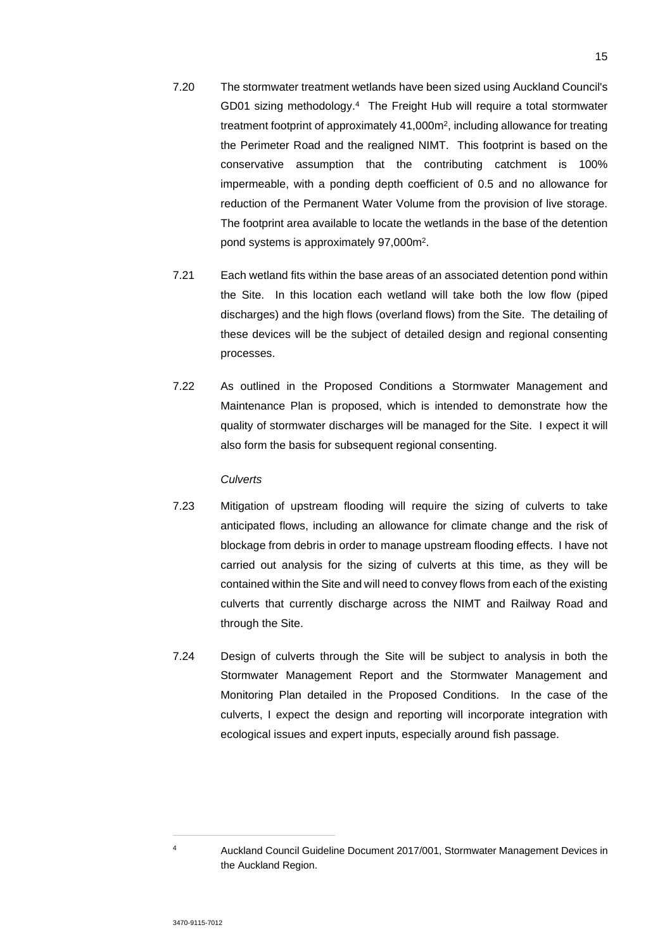- 7.20 The stormwater treatment wetlands have been sized using Auckland Council's GD01 sizing methodology.<sup>4</sup> The Freight Hub will require a total stormwater treatment footprint of approximately 41,000m<sup>2</sup>, including allowance for treating the Perimeter Road and the realigned NIMT. This footprint is based on the conservative assumption that the contributing catchment is 100% impermeable, with a ponding depth coefficient of 0.5 and no allowance for reduction of the Permanent Water Volume from the provision of live storage. The footprint area available to locate the wetlands in the base of the detention pond systems is approximately 97,000m<sup>2</sup> .
- 7.21 Each wetland fits within the base areas of an associated detention pond within the Site. In this location each wetland will take both the low flow (piped discharges) and the high flows (overland flows) from the Site. The detailing of these devices will be the subject of detailed design and regional consenting processes.
- 7.22 As outlined in the Proposed Conditions a Stormwater Management and Maintenance Plan is proposed, which is intended to demonstrate how the quality of stormwater discharges will be managed for the Site. I expect it will also form the basis for subsequent regional consenting.

### *Culverts*

- 7.23 Mitigation of upstream flooding will require the sizing of culverts to take anticipated flows, including an allowance for climate change and the risk of blockage from debris in order to manage upstream flooding effects. I have not carried out analysis for the sizing of culverts at this time, as they will be contained within the Site and will need to convey flows from each of the existing culverts that currently discharge across the NIMT and Railway Road and through the Site.
- 7.24 Design of culverts through the Site will be subject to analysis in both the Stormwater Management Report and the Stormwater Management and Monitoring Plan detailed in the Proposed Conditions. In the case of the culverts, I expect the design and reporting will incorporate integration with ecological issues and expert inputs, especially around fish passage.

<sup>4</sup> Auckland Council Guideline Document 2017/001, Stormwater Management Devices in the Auckland Region.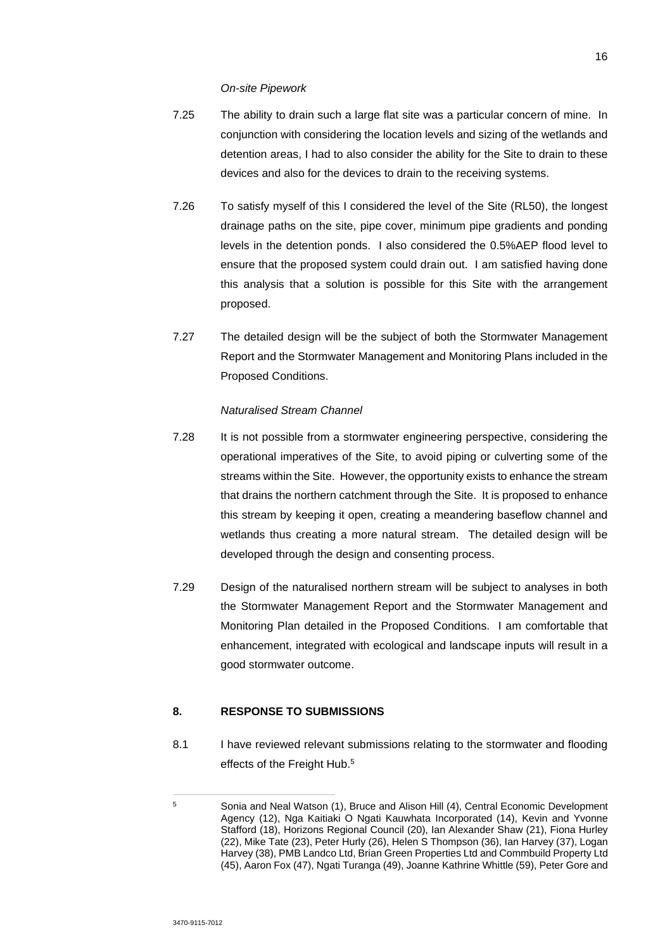*On-site Pipework* 

- 7.25 The ability to drain such a large flat site was a particular concern of mine. In conjunction with considering the location levels and sizing of the wetlands and detention areas, I had to also consider the ability for the Site to drain to these devices and also for the devices to drain to the receiving systems.
- 7.26 To satisfy myself of this I considered the level of the Site (RL50), the longest drainage paths on the site, pipe cover, minimum pipe gradients and ponding levels in the detention ponds. I also considered the 0.5%AEP flood level to ensure that the proposed system could drain out. I am satisfied having done this analysis that a solution is possible for this Site with the arrangement proposed.
- 7.27 The detailed design will be the subject of both the Stormwater Management Report and the Stormwater Management and Monitoring Plans included in the Proposed Conditions.

### *Naturalised Stream Channel*

- 7.28 It is not possible from a stormwater engineering perspective, considering the operational imperatives of the Site, to avoid piping or culverting some of the streams within the Site. However, the opportunity exists to enhance the stream that drains the northern catchment through the Site. It is proposed to enhance this stream by keeping it open, creating a meandering baseflow channel and wetlands thus creating a more natural stream. The detailed design will be developed through the design and consenting process.
- 7.29 Design of the naturalised northern stream will be subject to analyses in both the Stormwater Management Report and the Stormwater Management and Monitoring Plan detailed in the Proposed Conditions. I am comfortable that enhancement, integrated with ecological and landscape inputs will result in a good stormwater outcome.

## **8. RESPONSE TO SUBMISSIONS**

8.1 I have reviewed relevant submissions relating to the stormwater and flooding effects of the Freight Hub.<sup>5</sup>

<sup>5</sup> Sonia and Neal Watson (1), Bruce and Alison Hill (4), Central Economic Development Agency (12), Nga Kaitiaki O Ngati Kauwhata Incorporated (14), Kevin and Yvonne Stafford (18), Horizons Regional Council (20), Ian Alexander Shaw (21), Fiona Hurley (22), Mike Tate (23), Peter Hurly (26), Helen S Thompson (36), Ian Harvey (37), Logan Harvey (38), PMB Landco Ltd, Brian Green Properties Ltd and Commbuild Property Ltd (45), Aaron Fox (47), Ngati Turanga (49), Joanne Kathrine Whittle (59), Peter Gore and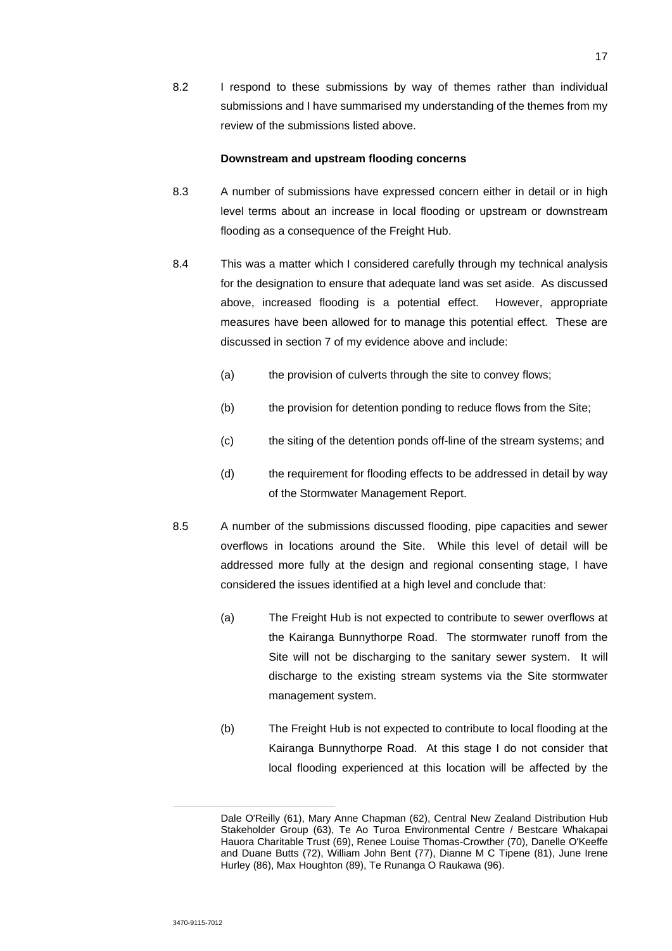8.2 I respond to these submissions by way of themes rather than individual submissions and I have summarised my understanding of the themes from my review of the submissions listed above.

#### **Downstream and upstream flooding concerns**

- 8.3 A number of submissions have expressed concern either in detail or in high level terms about an increase in local flooding or upstream or downstream flooding as a consequence of the Freight Hub.
- 8.4 This was a matter which I considered carefully through my technical analysis for the designation to ensure that adequate land was set aside. As discussed above, increased flooding is a potential effect. However, appropriate measures have been allowed for to manage this potential effect. These are discussed in section 7 of my evidence above and include:
	- (a) the provision of culverts through the site to convey flows;
	- (b) the provision for detention ponding to reduce flows from the Site;
	- (c) the siting of the detention ponds off-line of the stream systems; and
	- (d) the requirement for flooding effects to be addressed in detail by way of the Stormwater Management Report.
- 8.5 A number of the submissions discussed flooding, pipe capacities and sewer overflows in locations around the Site. While this level of detail will be addressed more fully at the design and regional consenting stage, I have considered the issues identified at a high level and conclude that:
	- (a) The Freight Hub is not expected to contribute to sewer overflows at the Kairanga Bunnythorpe Road. The stormwater runoff from the Site will not be discharging to the sanitary sewer system. It will discharge to the existing stream systems via the Site stormwater management system.
	- (b) The Freight Hub is not expected to contribute to local flooding at the Kairanga Bunnythorpe Road. At this stage I do not consider that local flooding experienced at this location will be affected by the

Dale O'Reilly (61), Mary Anne Chapman (62), Central New Zealand Distribution Hub Stakeholder Group (63), Te Ao Turoa Environmental Centre / Bestcare Whakapai Hauora Charitable Trust (69), Renee Louise Thomas-Crowther (70), Danelle O'Keeffe and Duane Butts (72), William John Bent (77), Dianne M C Tipene (81), June Irene Hurley (86), Max Houghton (89), Te Runanga O Raukawa (96).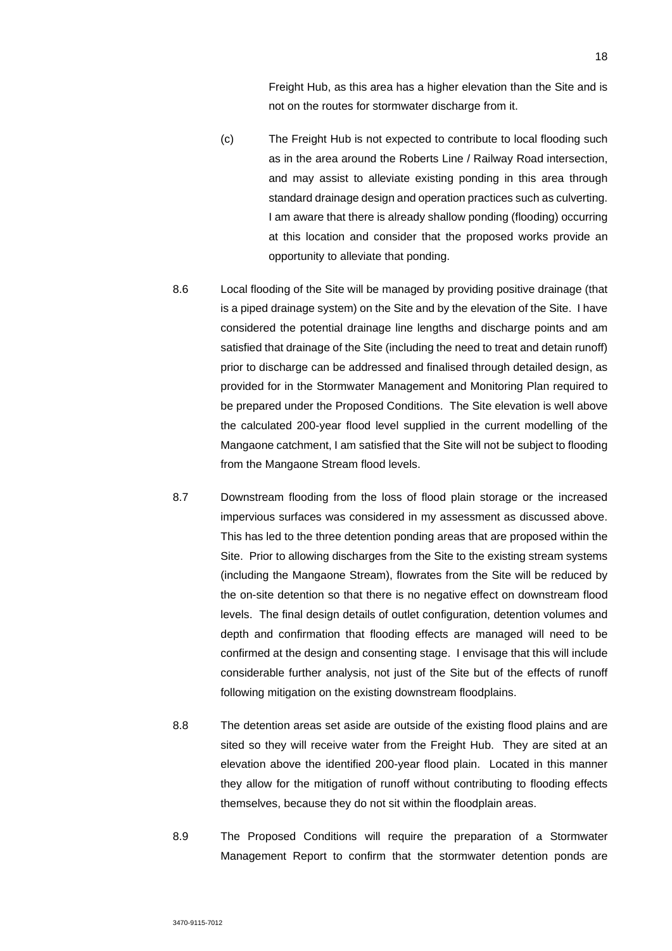Freight Hub, as this area has a higher elevation than the Site and is not on the routes for stormwater discharge from it.

- (c) The Freight Hub is not expected to contribute to local flooding such as in the area around the Roberts Line / Railway Road intersection, and may assist to alleviate existing ponding in this area through standard drainage design and operation practices such as culverting. I am aware that there is already shallow ponding (flooding) occurring at this location and consider that the proposed works provide an opportunity to alleviate that ponding.
- 8.6 Local flooding of the Site will be managed by providing positive drainage (that is a piped drainage system) on the Site and by the elevation of the Site. I have considered the potential drainage line lengths and discharge points and am satisfied that drainage of the Site (including the need to treat and detain runoff) prior to discharge can be addressed and finalised through detailed design, as provided for in the Stormwater Management and Monitoring Plan required to be prepared under the Proposed Conditions. The Site elevation is well above the calculated 200-year flood level supplied in the current modelling of the Mangaone catchment, I am satisfied that the Site will not be subject to flooding from the Mangaone Stream flood levels.
- 8.7 Downstream flooding from the loss of flood plain storage or the increased impervious surfaces was considered in my assessment as discussed above. This has led to the three detention ponding areas that are proposed within the Site. Prior to allowing discharges from the Site to the existing stream systems (including the Mangaone Stream), flowrates from the Site will be reduced by the on-site detention so that there is no negative effect on downstream flood levels. The final design details of outlet configuration, detention volumes and depth and confirmation that flooding effects are managed will need to be confirmed at the design and consenting stage. I envisage that this will include considerable further analysis, not just of the Site but of the effects of runoff following mitigation on the existing downstream floodplains.
- 8.8 The detention areas set aside are outside of the existing flood plains and are sited so they will receive water from the Freight Hub. They are sited at an elevation above the identified 200-year flood plain. Located in this manner they allow for the mitigation of runoff without contributing to flooding effects themselves, because they do not sit within the floodplain areas.
- 8.9 The Proposed Conditions will require the preparation of a Stormwater Management Report to confirm that the stormwater detention ponds are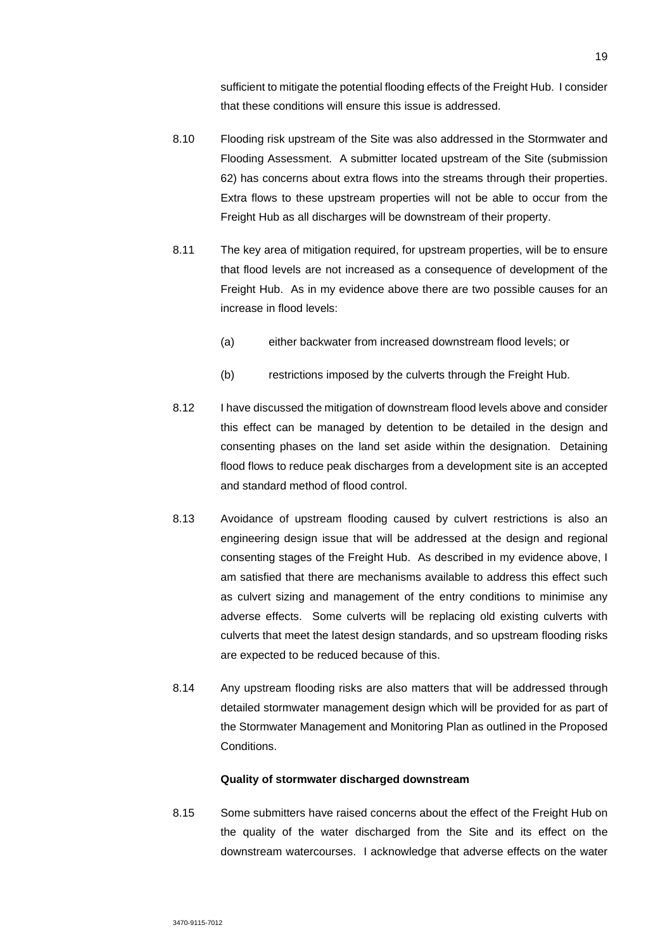sufficient to mitigate the potential flooding effects of the Freight Hub. I consider that these conditions will ensure this issue is addressed.

- 8.10 Flooding risk upstream of the Site was also addressed in the Stormwater and Flooding Assessment. A submitter located upstream of the Site (submission 62) has concerns about extra flows into the streams through their properties. Extra flows to these upstream properties will not be able to occur from the Freight Hub as all discharges will be downstream of their property.
- 8.11 The key area of mitigation required, for upstream properties, will be to ensure that flood levels are not increased as a consequence of development of the Freight Hub. As in my evidence above there are two possible causes for an increase in flood levels:
	- (a) either backwater from increased downstream flood levels; or
	- (b) restrictions imposed by the culverts through the Freight Hub.
- 8.12 I have discussed the mitigation of downstream flood levels above and consider this effect can be managed by detention to be detailed in the design and consenting phases on the land set aside within the designation. Detaining flood flows to reduce peak discharges from a development site is an accepted and standard method of flood control.
- 8.13 Avoidance of upstream flooding caused by culvert restrictions is also an engineering design issue that will be addressed at the design and regional consenting stages of the Freight Hub. As described in my evidence above, I am satisfied that there are mechanisms available to address this effect such as culvert sizing and management of the entry conditions to minimise any adverse effects. Some culverts will be replacing old existing culverts with culverts that meet the latest design standards, and so upstream flooding risks are expected to be reduced because of this.
- 8.14 Any upstream flooding risks are also matters that will be addressed through detailed stormwater management design which will be provided for as part of the Stormwater Management and Monitoring Plan as outlined in the Proposed Conditions.

### **Quality of stormwater discharged downstream**

8.15 Some submitters have raised concerns about the effect of the Freight Hub on the quality of the water discharged from the Site and its effect on the downstream watercourses. I acknowledge that adverse effects on the water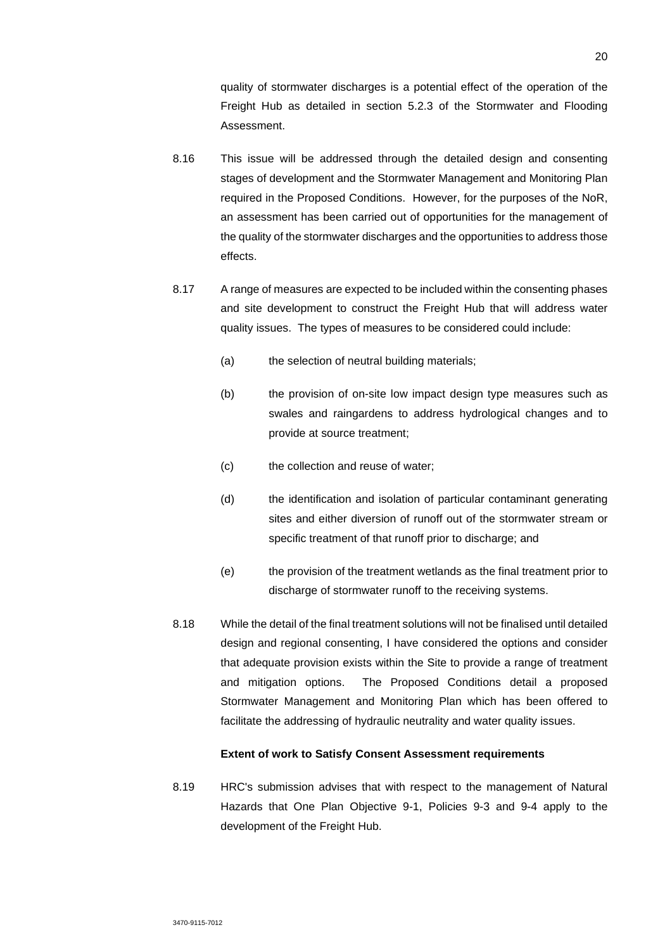quality of stormwater discharges is a potential effect of the operation of the Freight Hub as detailed in section 5.2.3 of the Stormwater and Flooding Assessment.

- 8.16 This issue will be addressed through the detailed design and consenting stages of development and the Stormwater Management and Monitoring Plan required in the Proposed Conditions. However, for the purposes of the NoR, an assessment has been carried out of opportunities for the management of the quality of the stormwater discharges and the opportunities to address those effects.
- 8.17 A range of measures are expected to be included within the consenting phases and site development to construct the Freight Hub that will address water quality issues. The types of measures to be considered could include:
	- (a) the selection of neutral building materials;
	- (b) the provision of on-site low impact design type measures such as swales and raingardens to address hydrological changes and to provide at source treatment;
	- (c) the collection and reuse of water;
	- (d) the identification and isolation of particular contaminant generating sites and either diversion of runoff out of the stormwater stream or specific treatment of that runoff prior to discharge; and
	- (e) the provision of the treatment wetlands as the final treatment prior to discharge of stormwater runoff to the receiving systems.
- 8.18 While the detail of the final treatment solutions will not be finalised until detailed design and regional consenting, I have considered the options and consider that adequate provision exists within the Site to provide a range of treatment and mitigation options. The Proposed Conditions detail a proposed Stormwater Management and Monitoring Plan which has been offered to facilitate the addressing of hydraulic neutrality and water quality issues.

### **Extent of work to Satisfy Consent Assessment requirements**

8.19 HRC's submission advises that with respect to the management of Natural Hazards that One Plan Objective 9-1, Policies 9-3 and 9-4 apply to the development of the Freight Hub.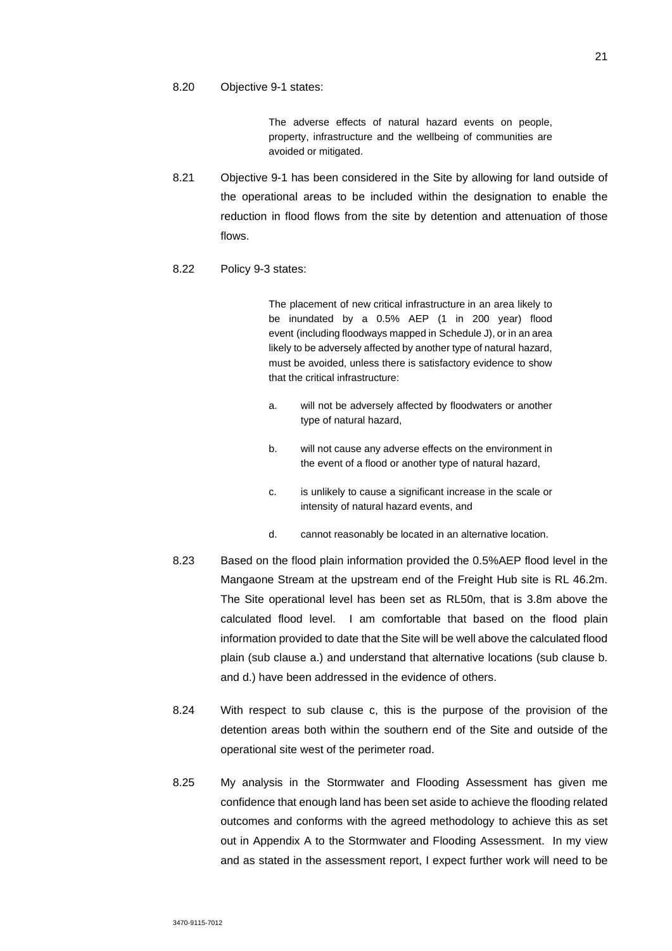#### 8.20 Objective 9-1 states:

The adverse effects of natural hazard events on people, property, infrastructure and the wellbeing of communities are avoided or mitigated.

8.21 Objective 9-1 has been considered in the Site by allowing for land outside of the operational areas to be included within the designation to enable the reduction in flood flows from the site by detention and attenuation of those flows.

#### 8.22 Policy 9-3 states:

The placement of new critical infrastructure in an area likely to be inundated by a 0.5% AEP (1 in 200 year) flood event (including floodways mapped in Schedule J), or in an area likely to be adversely affected by another type of natural hazard, must be avoided, unless there is satisfactory evidence to show that the critical infrastructure:

- a. will not be adversely affected by floodwaters or another type of natural hazard,
- b. will not cause any adverse effects on the environment in the event of a flood or another type of natural hazard,
- c. is unlikely to cause a significant increase in the scale or intensity of natural hazard events, and
- d. cannot reasonably be located in an alternative location.
- 8.23 Based on the flood plain information provided the 0.5%AEP flood level in the Mangaone Stream at the upstream end of the Freight Hub site is RL 46.2m. The Site operational level has been set as RL50m, that is 3.8m above the calculated flood level. I am comfortable that based on the flood plain information provided to date that the Site will be well above the calculated flood plain (sub clause a.) and understand that alternative locations (sub clause b. and d.) have been addressed in the evidence of others.
- 8.24 With respect to sub clause c, this is the purpose of the provision of the detention areas both within the southern end of the Site and outside of the operational site west of the perimeter road.
- 8.25 My analysis in the Stormwater and Flooding Assessment has given me confidence that enough land has been set aside to achieve the flooding related outcomes and conforms with the agreed methodology to achieve this as set out in Appendix A to the Stormwater and Flooding Assessment. In my view and as stated in the assessment report, I expect further work will need to be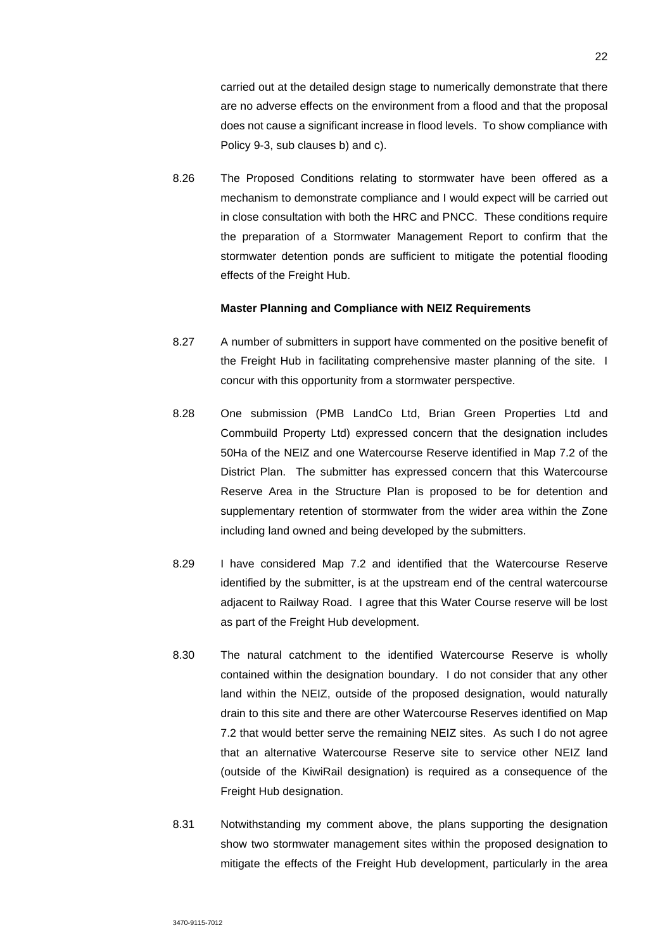carried out at the detailed design stage to numerically demonstrate that there are no adverse effects on the environment from a flood and that the proposal does not cause a significant increase in flood levels. To show compliance with Policy 9-3, sub clauses b) and c).

8.26 The Proposed Conditions relating to stormwater have been offered as a mechanism to demonstrate compliance and I would expect will be carried out in close consultation with both the HRC and PNCC. These conditions require the preparation of a Stormwater Management Report to confirm that the stormwater detention ponds are sufficient to mitigate the potential flooding effects of the Freight Hub.

### **Master Planning and Compliance with NEIZ Requirements**

- 8.27 A number of submitters in support have commented on the positive benefit of the Freight Hub in facilitating comprehensive master planning of the site. I concur with this opportunity from a stormwater perspective.
- 8.28 One submission (PMB LandCo Ltd, Brian Green Properties Ltd and Commbuild Property Ltd) expressed concern that the designation includes 50Ha of the NEIZ and one Watercourse Reserve identified in Map 7.2 of the District Plan. The submitter has expressed concern that this Watercourse Reserve Area in the Structure Plan is proposed to be for detention and supplementary retention of stormwater from the wider area within the Zone including land owned and being developed by the submitters.
- 8.29 I have considered Map 7.2 and identified that the Watercourse Reserve identified by the submitter, is at the upstream end of the central watercourse adjacent to Railway Road. I agree that this Water Course reserve will be lost as part of the Freight Hub development.
- 8.30 The natural catchment to the identified Watercourse Reserve is wholly contained within the designation boundary. I do not consider that any other land within the NEIZ, outside of the proposed designation, would naturally drain to this site and there are other Watercourse Reserves identified on Map 7.2 that would better serve the remaining NEIZ sites. As such I do not agree that an alternative Watercourse Reserve site to service other NEIZ land (outside of the KiwiRail designation) is required as a consequence of the Freight Hub designation.
- 8.31 Notwithstanding my comment above, the plans supporting the designation show two stormwater management sites within the proposed designation to mitigate the effects of the Freight Hub development, particularly in the area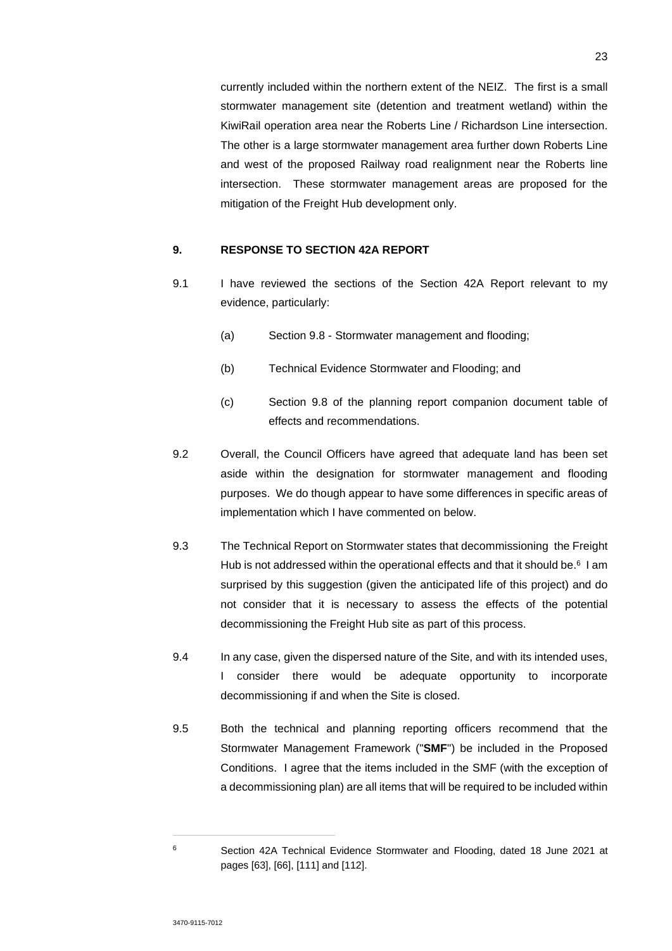currently included within the northern extent of the NEIZ. The first is a small stormwater management site (detention and treatment wetland) within the KiwiRail operation area near the Roberts Line / Richardson Line intersection. The other is a large stormwater management area further down Roberts Line and west of the proposed Railway road realignment near the Roberts line intersection. These stormwater management areas are proposed for the mitigation of the Freight Hub development only.

### **9. RESPONSE TO SECTION 42A REPORT**

- 9.1 I have reviewed the sections of the Section 42A Report relevant to my evidence, particularly:
	- (a) Section 9.8 Stormwater management and flooding;
	- (b) Technical Evidence Stormwater and Flooding; and
	- (c) Section 9.8 of the planning report companion document table of effects and recommendations.
- 9.2 Overall, the Council Officers have agreed that adequate land has been set aside within the designation for stormwater management and flooding purposes. We do though appear to have some differences in specific areas of implementation which I have commented on below.
- 9.3 The Technical Report on Stormwater states that decommissioning the Freight Hub is not addressed within the operational effects and that it should be.<sup>6</sup> I am surprised by this suggestion (given the anticipated life of this project) and do not consider that it is necessary to assess the effects of the potential decommissioning the Freight Hub site as part of this process.
- 9.4 In any case, given the dispersed nature of the Site, and with its intended uses, I consider there would be adequate opportunity to incorporate decommissioning if and when the Site is closed.
- 9.5 Both the technical and planning reporting officers recommend that the Stormwater Management Framework ("**SMF**") be included in the Proposed Conditions. I agree that the items included in the SMF (with the exception of a decommissioning plan) are all items that will be required to be included within

<sup>6</sup> Section 42A Technical Evidence Stormwater and Flooding, dated 18 June 2021 at pages [63], [66], [111] and [112].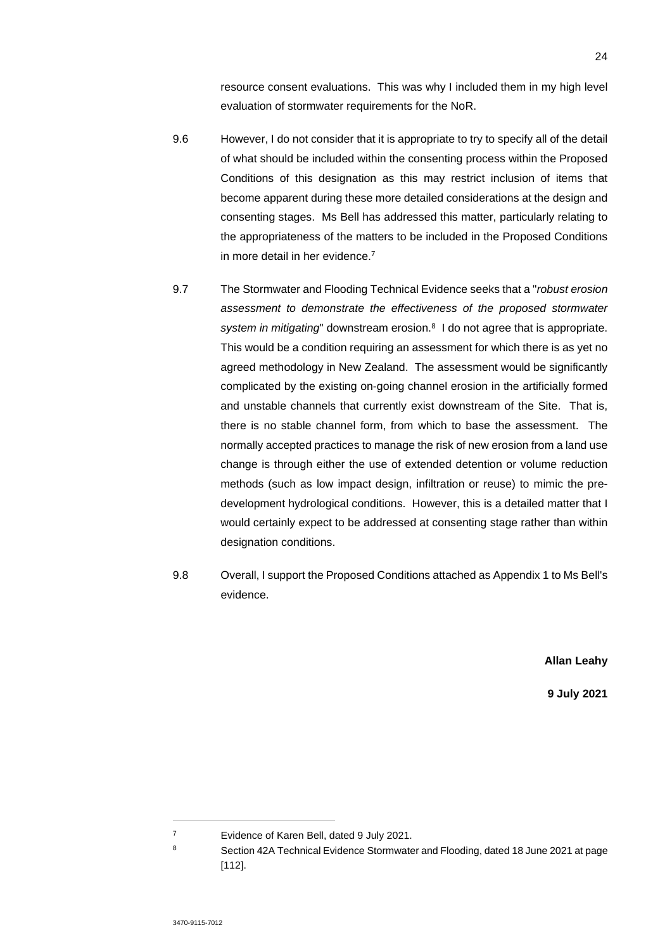resource consent evaluations. This was why I included them in my high level evaluation of stormwater requirements for the NoR.

- 9.6 However, I do not consider that it is appropriate to try to specify all of the detail of what should be included within the consenting process within the Proposed Conditions of this designation as this may restrict inclusion of items that become apparent during these more detailed considerations at the design and consenting stages. Ms Bell has addressed this matter, particularly relating to the appropriateness of the matters to be included in the Proposed Conditions in more detail in her evidence.<sup>7</sup>
- 9.7 The Stormwater and Flooding Technical Evidence seeks that a "*robust erosion assessment to demonstrate the effectiveness of the proposed stormwater*  system in mitigating" downstream erosion.<sup>8</sup> I do not agree that is appropriate. This would be a condition requiring an assessment for which there is as yet no agreed methodology in New Zealand. The assessment would be significantly complicated by the existing on-going channel erosion in the artificially formed and unstable channels that currently exist downstream of the Site. That is, there is no stable channel form, from which to base the assessment. The normally accepted practices to manage the risk of new erosion from a land use change is through either the use of extended detention or volume reduction methods (such as low impact design, infiltration or reuse) to mimic the predevelopment hydrological conditions. However, this is a detailed matter that I would certainly expect to be addressed at consenting stage rather than within designation conditions.
- 9.8 Overall, I support the Proposed Conditions attached as Appendix 1 to Ms Bell's evidence.

**Allan Leahy** 

**9 July 2021** 

<sup>7</sup> Evidence of Karen Bell, dated 9 July 2021.

<sup>8</sup> Section 42A Technical Evidence Stormwater and Flooding, dated 18 June 2021 at page [112].